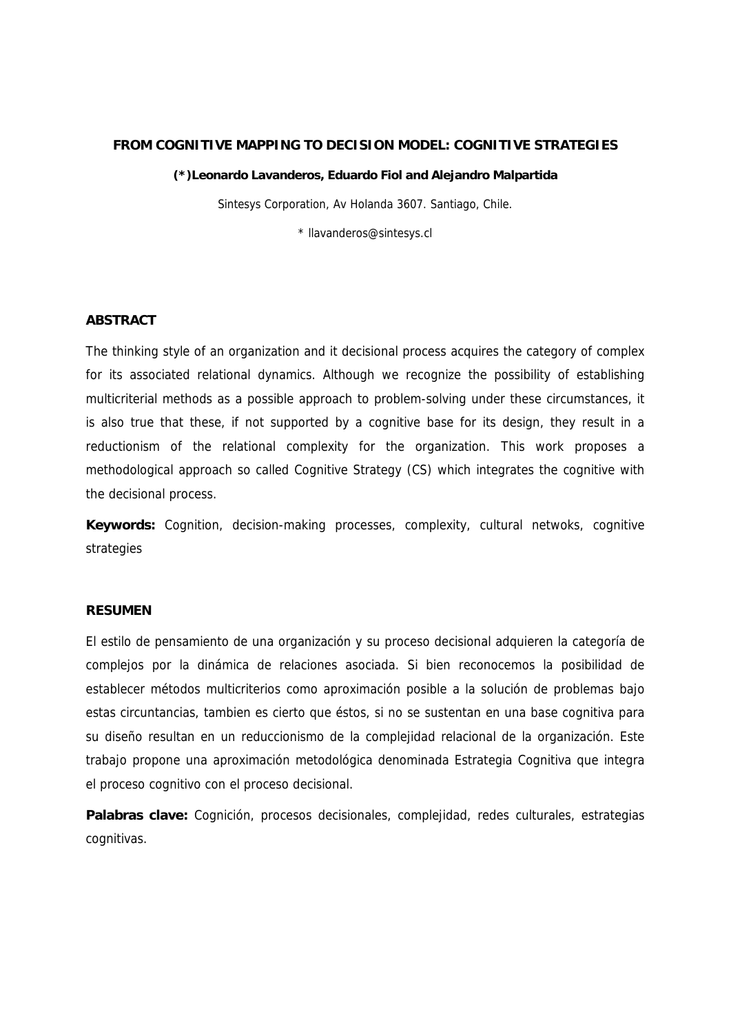## **FROM COGNITIVE MAPPING TO DECISION MODEL: COGNITIVE STRATEGIES**

#### **(\*)Leonardo Lavanderos, Eduardo Fiol and Alejandro Malpartida**

Sintesys Corporation, Av Holanda 3607. Santiago, Chile.

\* llavanderos@sintesys.cl

## **ABSTRACT**

The thinking style of an organization and it decisional process acquires the category of complex for its associated relational dynamics. Although we recognize the possibility of establishing multicriterial methods as a possible approach to problem-solving under these circumstances, it is also true that these, if not supported by a cognitive base for its design, they result in a reductionism of the relational complexity for the organization. This work proposes a methodological approach so called Cognitive Strategy (CS) which integrates the cognitive with the decisional process.

**Keywords:** Cognition, decision-making processes, complexity, cultural netwoks, cognitive strategies

## **RESUMEN**

El estilo de pensamiento de una organización y su proceso decisional adquieren la categoría de complejos por la dinámica de relaciones asociada. Si bien reconocemos la posibilidad de establecer métodos multicriterios como aproximación posible a la solución de problemas bajo estas circuntancias, tambien es cierto que éstos, si no se sustentan en una base cognitiva para su diseño resultan en un reduccionismo de la complejidad relacional de la organización. Este trabajo propone una aproximación metodológica denominada Estrategia Cognitiva que integra el proceso cognitivo con el proceso decisional.

**Palabras clave:** Cognición, procesos decisionales, complejidad, redes culturales, estrategias cognitivas.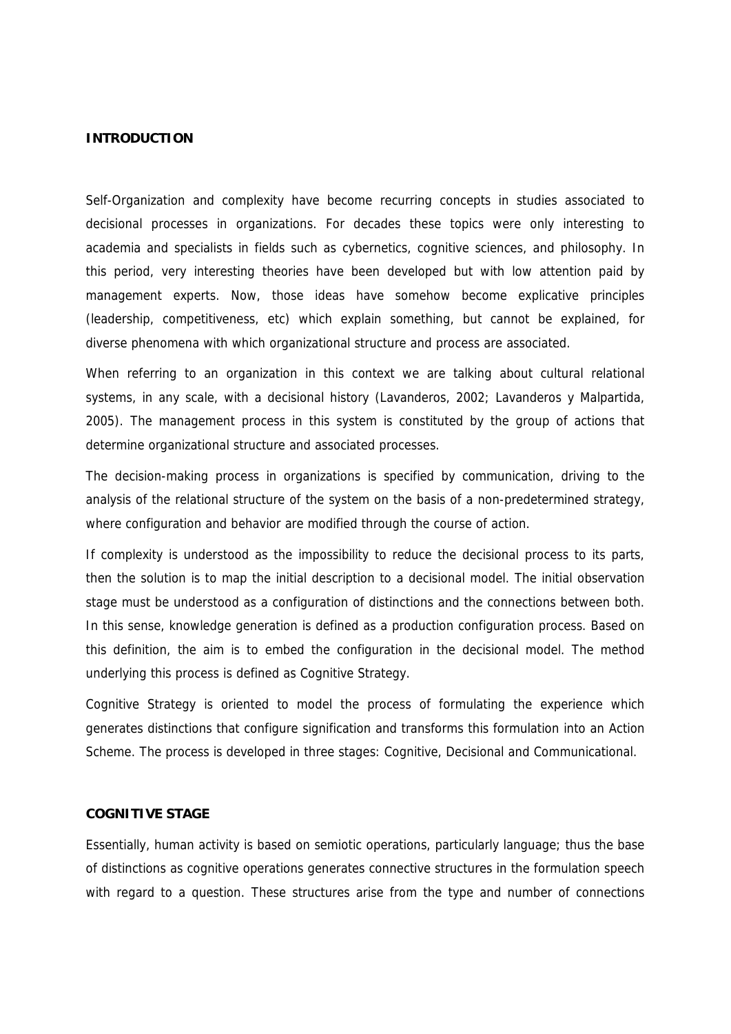#### **INTRODUCTION**

Self-Organization and complexity have become recurring concepts in studies associated to decisional processes in organizations. For decades these topics were only interesting to academia and specialists in fields such as cybernetics, cognitive sciences, and philosophy. In this period, very interesting theories have been developed but with low attention paid by management experts. Now, those ideas have somehow become explicative principles (leadership, competitiveness, etc) which explain something, but cannot be explained, for diverse phenomena with which organizational structure and process are associated.

When referring to an organization in this context we are talking about cultural relational systems, in any scale, with a decisional history (Lavanderos, 2002; Lavanderos y Malpartida, 2005). The management process in this system is constituted by the group of actions that determine organizational structure and associated processes.

The decision-making process in organizations is specified by communication, driving to the analysis of the relational structure of the system on the basis of a non-predetermined strategy, where configuration and behavior are modified through the course of action.

If complexity is understood as the impossibility to reduce the decisional process to its parts, then the solution is to map the initial description to a decisional model. The initial observation stage must be understood as a configuration of distinctions and the connections between both. In this sense, knowledge generation is defined as a production configuration process. Based on this definition, the aim is to embed the configuration in the decisional model. The method underlying this process is defined as Cognitive Strategy.

Cognitive Strategy is oriented to model the process of formulating the experience which generates distinctions that configure signification and transforms this formulation into an Action Scheme. The process is developed in three stages: Cognitive, Decisional and Communicational.

## **COGNITIVE STAGE**

Essentially, human activity is based on semiotic operations, particularly language; thus the base of distinctions as cognitive operations generates connective structures in the formulation speech with regard to a question. These structures arise from the type and number of connections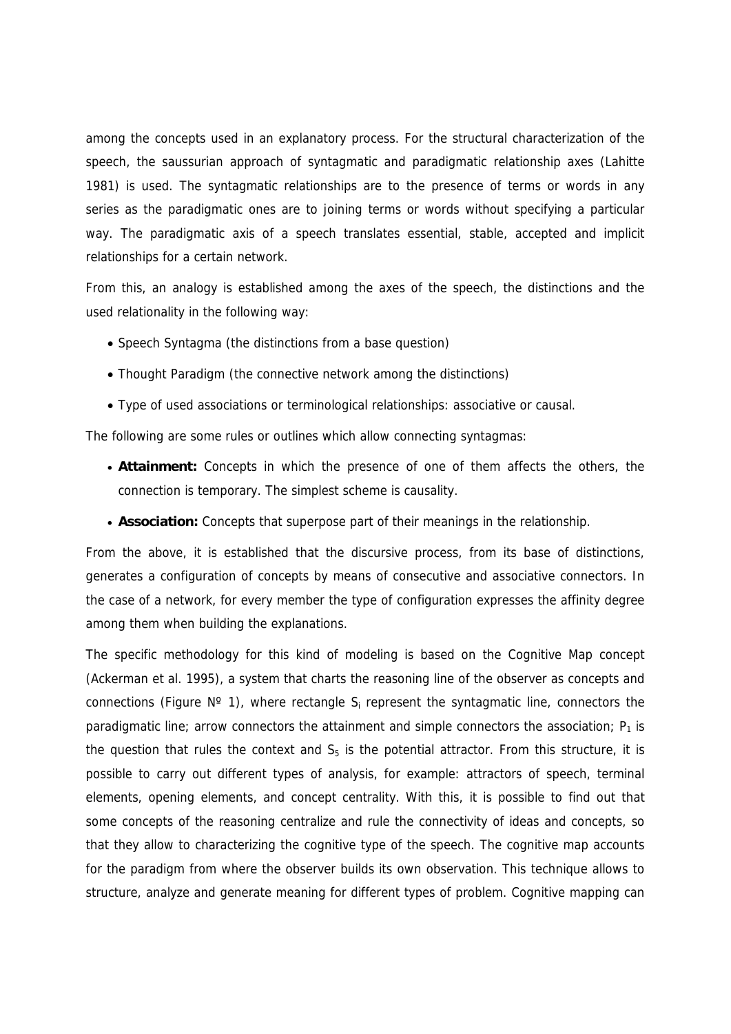among the concepts used in an explanatory process. For the structural characterization of the speech, the saussurian approach of syntagmatic and paradigmatic relationship axes (Lahitte 1981) is used. The syntagmatic relationships are to the presence of terms or words in any series as the paradigmatic ones are to joining terms or words without specifying a particular way. The paradigmatic axis of a speech translates essential, stable, accepted and implicit relationships for a certain network.

From this, an analogy is established among the axes of the speech, the distinctions and the used relationality in the following way:

- Speech Syntagma (the distinctions from a base question)
- Thought Paradigm (the connective network among the distinctions)
- Type of used associations or terminological relationships: associative or causal.

The following are some rules or outlines which allow connecting syntagmas:

- **Attainment:** Concepts in which the presence of one of them affects the others, the connection is temporary. The simplest scheme is causality.
- **Association:** Concepts that superpose part of their meanings in the relationship.

From the above, it is established that the discursive process, from its base of distinctions, generates a configuration of concepts by means of consecutive and associative connectors. In the case of a network, for every member the type of configuration expresses the affinity degree among them when building the explanations.

The specific methodology for this kind of modeling is based on the Cognitive Map concept (Ackerman et al. 1995), a system that charts the reasoning line of the observer as concepts and connections (Figure  $N^{\circ}$  1), where rectangle  $S_i$  represent the syntagmatic line, connectors the paradigmatic line; arrow connectors the attainment and simple connectors the association;  $P_1$  is the question that rules the context and  $S<sub>5</sub>$  is the potential attractor. From this structure, it is possible to carry out different types of analysis, for example: attractors of speech, terminal elements, opening elements, and concept centrality. With this, it is possible to find out that some concepts of the reasoning centralize and rule the connectivity of ideas and concepts, so that they allow to characterizing the cognitive type of the speech. The cognitive map accounts for the paradigm from where the observer builds its own observation. This technique allows to structure, analyze and generate meaning for different types of problem. Cognitive mapping can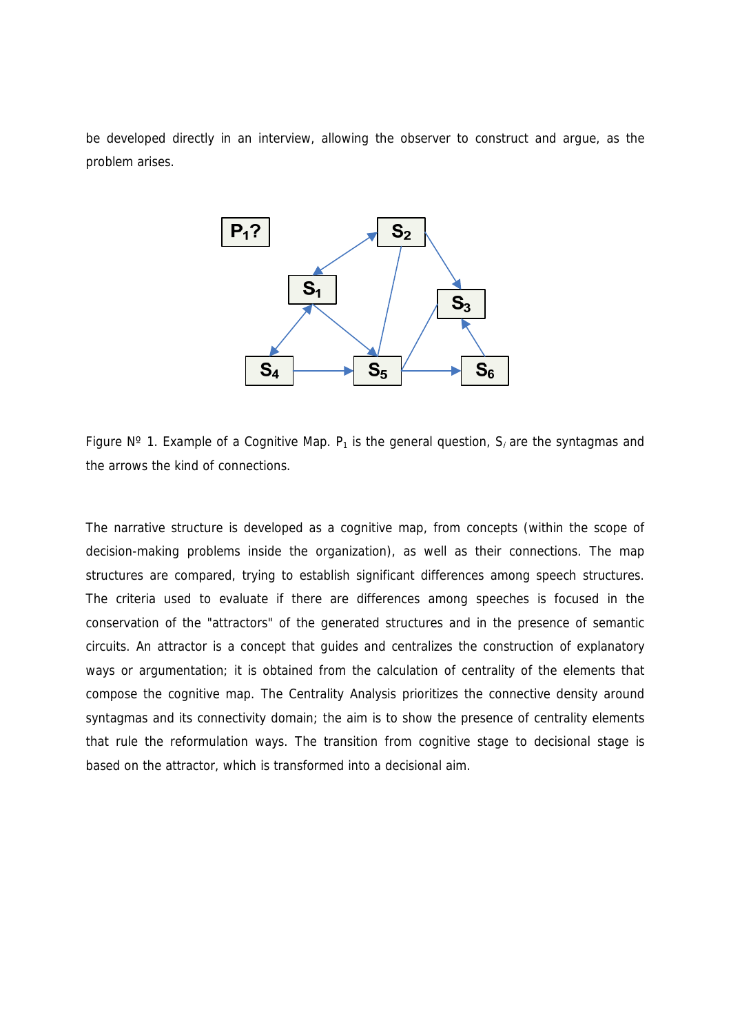be developed directly in an interview, allowing the observer to construct and argue, as the problem arises.



Figure N° 1. Example of a Cognitive Map.  $P_1$  is the general question,  $S_i$  are the syntagmas and the arrows the kind of connections.

The narrative structure is developed as a cognitive map, from concepts (within the scope of decision-making problems inside the organization), as well as their connections. The map structures are compared, trying to establish significant differences among speech structures. The criteria used to evaluate if there are differences among speeches is focused in the conservation of the "attractors" of the generated structures and in the presence of semantic circuits. An attractor is a concept that guides and centralizes the construction of explanatory ways or argumentation; it is obtained from the calculation of centrality of the elements that compose the cognitive map. The Centrality Analysis prioritizes the connective density around syntagmas and its connectivity domain; the aim is to show the presence of centrality elements that rule the reformulation ways. The transition from cognitive stage to decisional stage is based on the attractor, which is transformed into a decisional aim.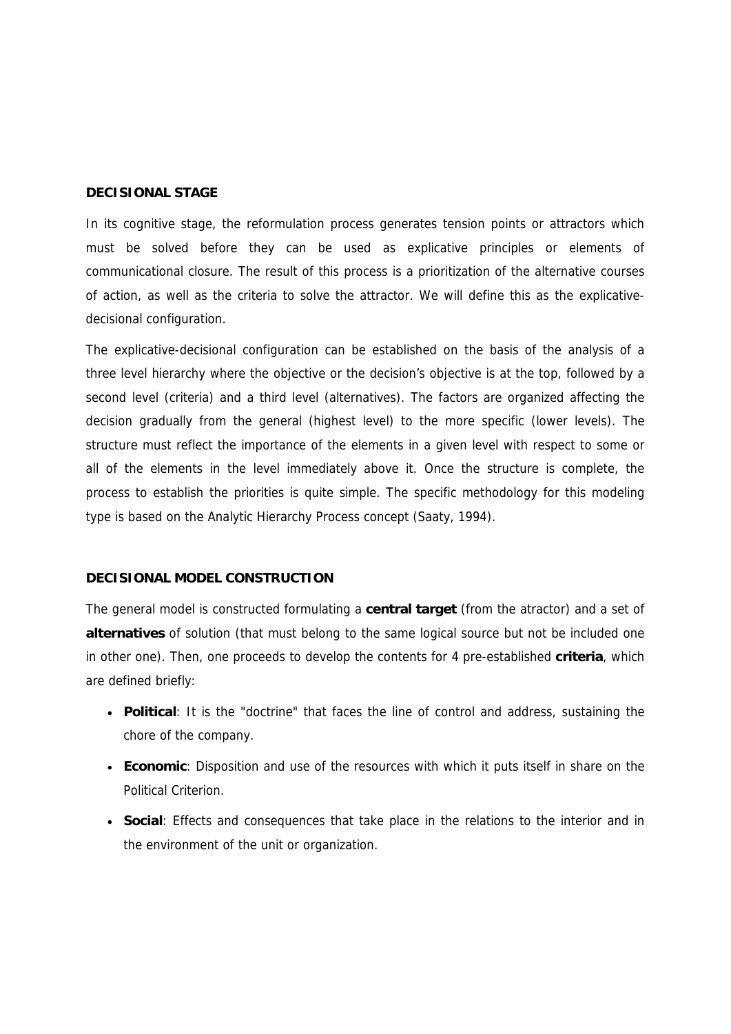#### **DECISIONAL STAGE**

In its cognitive stage, the reformulation process generates tension points or attractors which must be solved before they can be used as explicative principles or elements of communicational closure. The result of this process is a prioritization of the alternative courses of action, as well as the criteria to solve the attractor. We will define this as the explicativedecisional configuration.

The explicative-decisional configuration can be established on the basis of the analysis of a three level hierarchy where the objective or the decision's objective is at the top, followed by a second level (criteria) and a third level (alternatives). The factors are organized affecting the decision gradually from the general (highest level) to the more specific (lower levels). The structure must reflect the importance of the elements in a given level with respect to some or all of the elements in the level immediately above it. Once the structure is complete, the process to establish the priorities is quite simple. The specific methodology for this modeling type is based on the Analytic Hierarchy Process concept (Saaty, 1994).

## **DECISIONAL MODEL CONSTRUCTION**

The general model is constructed formulating a **central target** (from the atractor) and a set of **alternatives** of solution (that must belong to the same logical source but not be included one in other one). Then, one proceeds to develop the contents for 4 pre-established **criteria**, which are defined briefly:

- **Political**: It is the "doctrine" that faces the line of control and address, sustaining the chore of the company.
- **Economic**: Disposition and use of the resources with which it puts itself in share on the Political Criterion.
- **Social**: Effects and consequences that take place in the relations to the interior and in the environment of the unit or organization.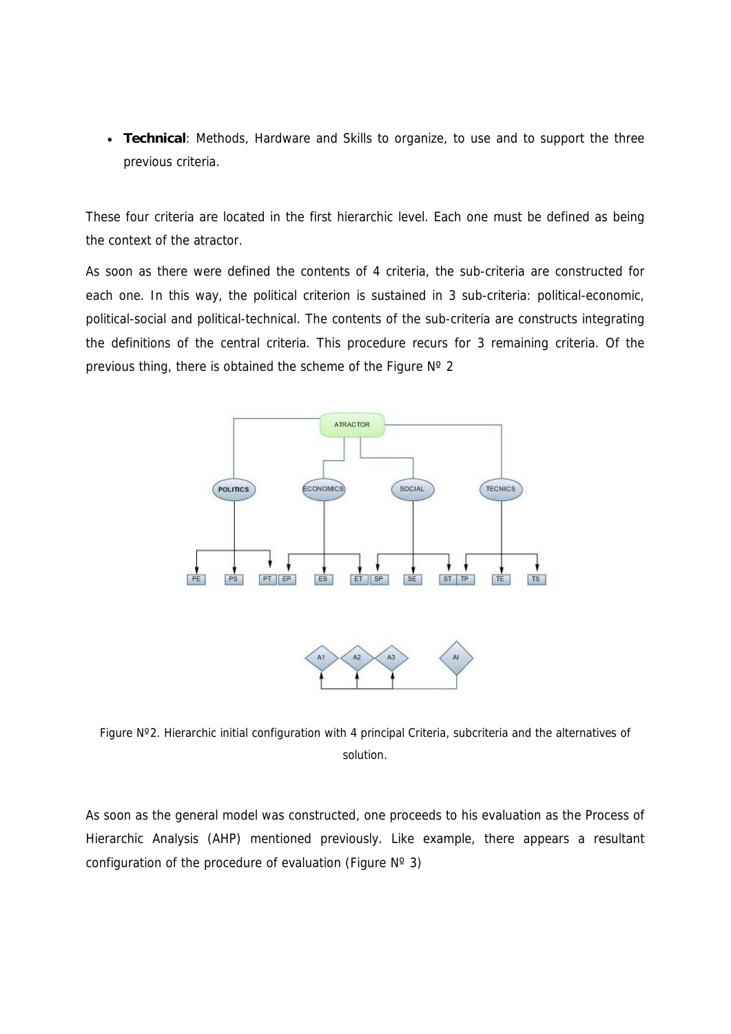• **Technical**: Methods, Hardware and Skills to organize, to use and to support the three previous criteria.

These four criteria are located in the first hierarchic level. Each one must be defined as being the context of the atractor.

As soon as there were defined the contents of 4 criteria, the sub-criteria are constructed for each one. In this way, the political criterion is sustained in 3 sub-criteria: political-economic, political-social and political-technical. The contents of the sub-criteria are constructs integrating the definitions of the central criteria. This procedure recurs for 3 remaining criteria. Of the previous thing, there is obtained the scheme of the Figure Nº 2



Figure Nº2. Hierarchic initial configuration with 4 principal Criteria, subcriteria and the alternatives of solution.

As soon as the general model was constructed, one proceeds to his evaluation as the Process of Hierarchic Analysis (AHP) mentioned previously. Like example, there appears a resultant configuration of the procedure of evaluation (Figure  $N^{\circ}$  3)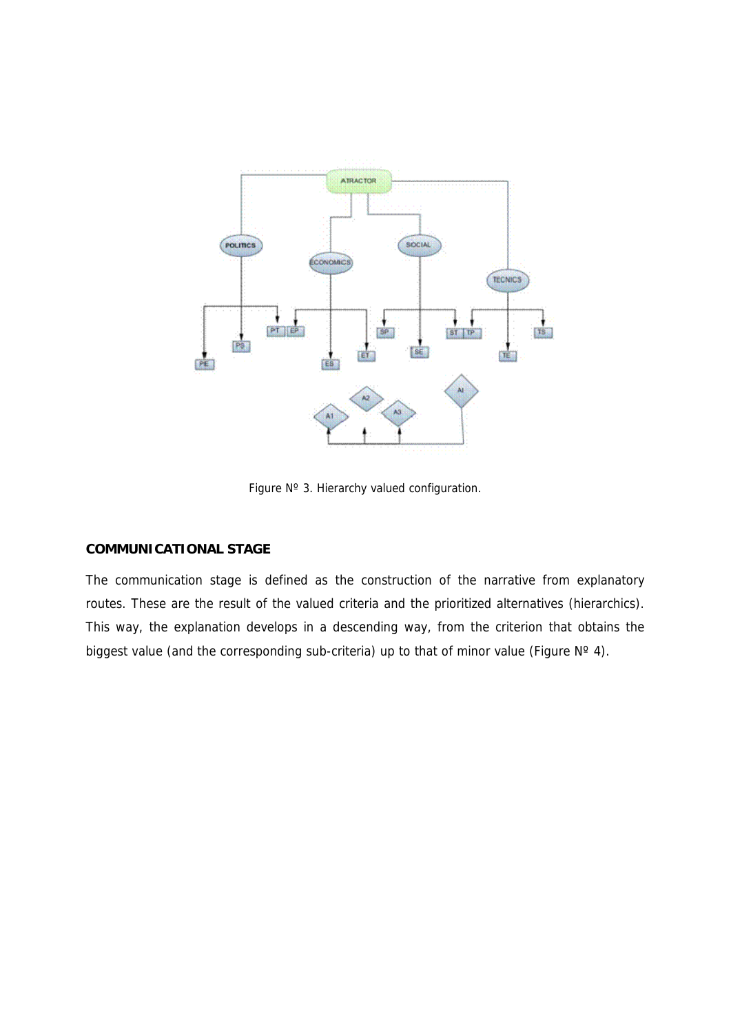

Figure Nº 3. Hierarchy valued configuration.

# **COMMUNICATIONAL STAGE**

The communication stage is defined as the construction of the narrative from explanatory routes. These are the result of the valued criteria and the prioritized alternatives (hierarchics). This way, the explanation develops in a descending way, from the criterion that obtains the biggest value (and the corresponding sub-criteria) up to that of minor value (Figure  $N^{\circ}$  4).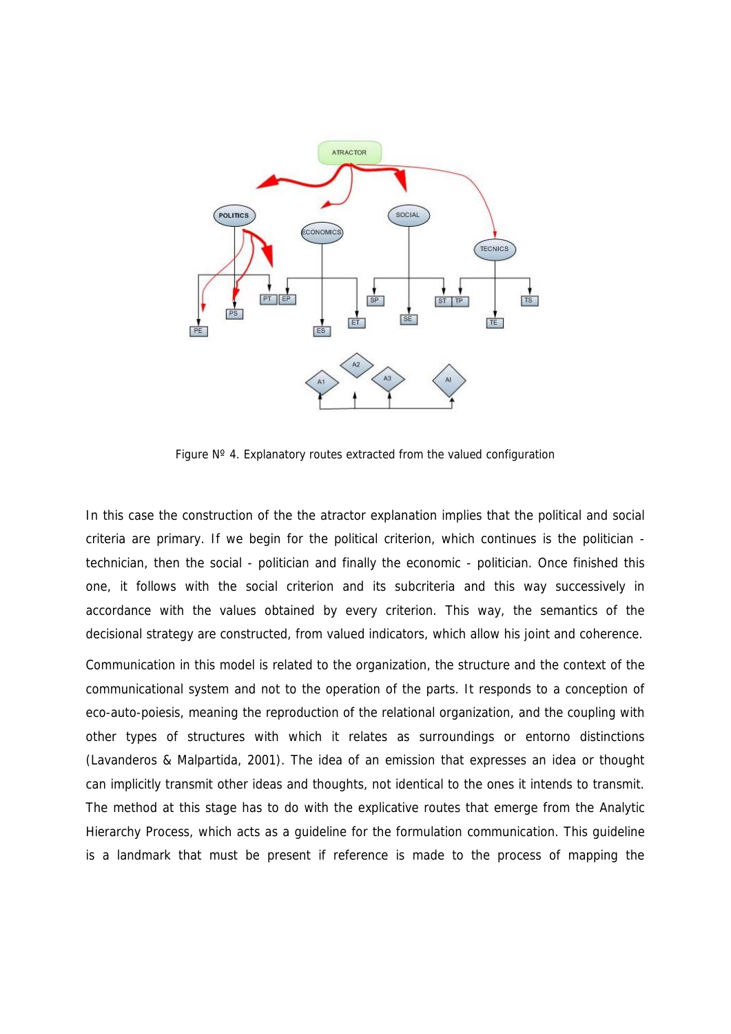

Figure  $N^{\circ}$  4. Explanatory routes extracted from the valued configuration

In this case the construction of the the atractor explanation implies that the political and social criteria are primary. If we begin for the political criterion, which continues is the politician technician, then the social - politician and finally the economic - politician. Once finished this one, it follows with the social criterion and its subcriteria and this way successively in accordance with the values obtained by every criterion. This way, the semantics of the decisional strategy are constructed, from valued indicators, which allow his joint and coherence.

Communication in this model is related to the organization, the structure and the context of the communicational system and not to the operation of the parts. It responds to a conception of eco-auto-poiesis, meaning the reproduction of the relational organization, and the coupling with other types of structures with which it relates as surroundings or entorno distinctions (Lavanderos & Malpartida, 2001). The idea of an emission that expresses an idea or thought can implicitly transmit other ideas and thoughts, not identical to the ones it intends to transmit. The method at this stage has to do with the explicative routes that emerge from the Analytic Hierarchy Process, which acts as a guideline for the formulation communication. This guideline is a landmark that must be present if reference is made to the process of mapping the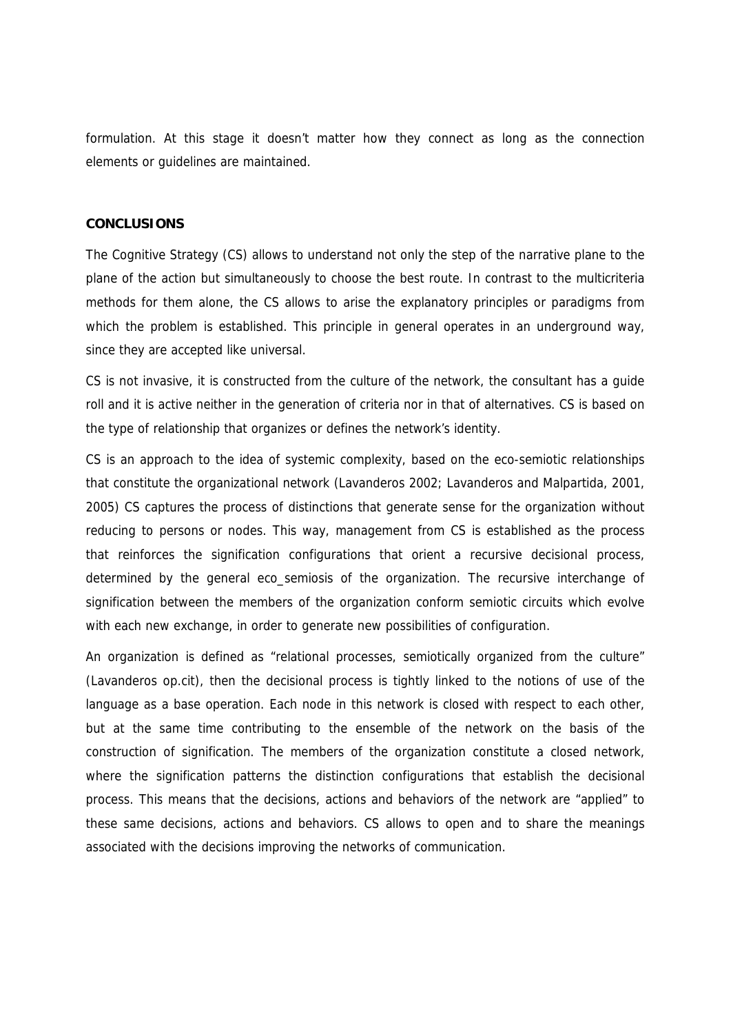formulation. At this stage it doesn't matter how they connect as long as the connection elements or guidelines are maintained.

## **CONCLUSIONS**

The Cognitive Strategy (CS) allows to understand not only the step of the narrative plane to the plane of the action but simultaneously to choose the best route. In contrast to the multicriteria methods for them alone, the CS allows to arise the explanatory principles or paradigms from which the problem is established. This principle in general operates in an underground way, since they are accepted like universal.

CS is not invasive, it is constructed from the culture of the network, the consultant has a guide roll and it is active neither in the generation of criteria nor in that of alternatives. CS is based on the type of relationship that organizes or defines the network's identity.

CS is an approach to the idea of systemic complexity, based on the eco-semiotic relationships that constitute the organizational network (Lavanderos 2002; Lavanderos and Malpartida, 2001, 2005) CS captures the process of distinctions that generate sense for the organization without reducing to persons or nodes. This way, management from CS is established as the process that reinforces the signification configurations that orient a recursive decisional process, determined by the general eco\_semiosis of the organization. The recursive interchange of signification between the members of the organization conform semiotic circuits which evolve with each new exchange, in order to generate new possibilities of configuration.

An organization is defined as "relational processes, semiotically organized from the culture" (Lavanderos op.cit), then the decisional process is tightly linked to the notions of use of the language as a base operation. Each node in this network is closed with respect to each other, but at the same time contributing to the ensemble of the network on the basis of the construction of signification. The members of the organization constitute a closed network, where the signification patterns the distinction configurations that establish the decisional process. This means that the decisions, actions and behaviors of the network are "applied" to these same decisions, actions and behaviors. CS allows to open and to share the meanings associated with the decisions improving the networks of communication.